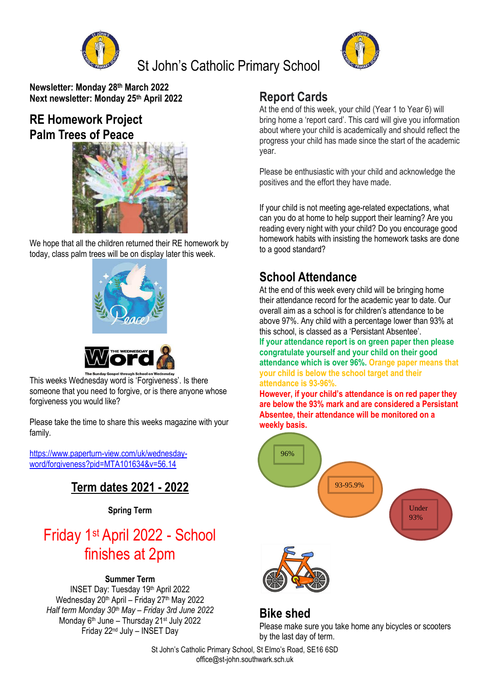

## St John's Catholic Primary School



**Newsletter: Monday 28th March 2022 Next newsletter: Monday 25th April 2022**

#### **RE Homework Project Palm Trees of Peace**



We hope that all the children returned their RE homework by today, class palm trees will be on display later this week.



This weeks Wednesday word is 'Forgiveness'. Is there someone that you need to forgive, or is there anyone whose forgiveness you would like?

Please take the time to share this weeks magazine with your family.

[https://www.paperturn-view.com/uk/wednesday](https://www.paperturn-view.com/uk/wednesday-word/forgiveness?pid=MTA101634&v=56.14)[word/forgiveness?pid=MTA101634&v=56.14](https://www.paperturn-view.com/uk/wednesday-word/forgiveness?pid=MTA101634&v=56.14)

#### **Term dates 2021 - 2022**

**Spring Term**

# Friday 1st April 2022 - School finishes at 2pm

#### **Summer Term**

INSET Day: Tuesday 19th April 2022 Wednesday 20<sup>th</sup> April – Friday 27<sup>th</sup> May 2022 *Half term Monday 30th May – Friday 3rd June 2022* Monday 6<sup>th</sup> June – Thursday 21<sup>st</sup> July 2022 Friday 22nd July – INSET Day

#### **Report Cards**

At the end of this week, your child (Year 1 to Year 6) will bring home a 'report card'. This card will give you information about where your child is academically and should reflect the progress your child has made since the start of the academic year.

Please be enthusiastic with your child and acknowledge the positives and the effort they have made.

If your child is not meeting age-related expectations, what can you do at home to help support their learning? Are you reading every night with your child? Do you encourage good homework habits with insisting the homework tasks are done to a good standard?

#### **School Attendance**

At the end of this week every child will be bringing home their attendance record for the academic year to date. Our overall aim as a school is for children's attendance to be above 97%. Any child with a percentage lower than 93% at this school, is classed as a 'Persistant Absentee'.

**If your attendance report is on green paper then please congratulate yourself and your child on their good attendance which is over 96%. Orange paper means that your child is below the school target and their attendance is 93-96%.** 

**However, if your child's attendance is on red paper they are below the 93% mark and are considered a Persistant Absentee, their attendance will be monitored on a weekly basis.**



#### **Bike shed**

Please make sure you take home any bicycles or scooters by the last day of term.

St John's Catholic Primary School, St Elmo's Road, SE16 6SD office@st-john.southwark.sch.uk